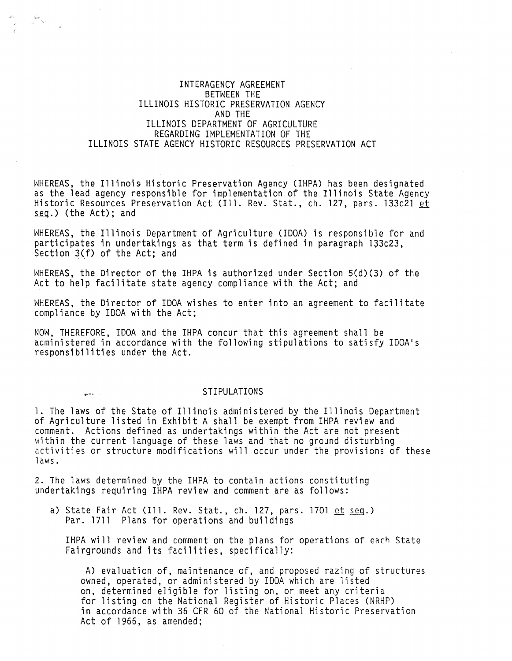## INTERAGENCY AGREEMENT BETWEEN THE ILLINOIS HISTORIC PRESERVATION AGENCY AND THE ILLINOIS DEPARTMENT OF AGRICULTURE REGARDING IMPLEMENTATION OF THE ILLINOIS STATE AGENCY HISTORIC RESOURCES PRESERVATION ACT

San<br>San San

WHEREAS, the Illinois Historic Preservation Agency (IHPA) has been designated<br>as the lead agency responsible for implementation of the Illinois State Agency Historic Resources Preservation Act (Ill. Rev. Stat., ch. 127, pars. 133c21 et  $seq.)$  (the Act); and

WHEREAS, the Illinois Department of Agriculture (IDOA) is responsible for and participates in undertakings as that term is defined in paragraph 133c23, Section 3(f) of the Act; and

WHEREAS, the Director of the IHPA is authorized under Section 5(d)(3) of the Act to help facilitate state agency compliance with the Act; and

WHEREAS, the Director of IDOA wishes to enter into an agreement to facilitate compliance by IDOA with the Act;

NOW, THEREFORE, IDOA and the IHPA concur that this agreement shall be administered in accordance with the following stipulations to satisfy IDOA's responsibilities under the Act.

## ..... STIPULATIONS

1. The laws of the State of Illinois administered by the Illinois Department of Agriculture listed in Exhibit A shall be exempt from IHPA review and within the current language of these laws and that no ground disturbing<br>activities or structure modifications will occur under the provisions of these laws.

2. The laws determined by the IHPA to contain actions constituting<br>undertakings requiring IHPA review and comment are as follows:

a) State Fair Act (Ill. Rev. Stat., ch. 127, pars. 1701  $et$   $seq.$ ) Par. 1711 Plans for operations and buildings

IHPA will review and comment on the plans for operations of each State Fairgrounds and its facilities, specifically:

A) evaluation of, maintenance of, and proposed razing of structures owned, operated, or administered by IDOA which are listed on, determined eligible for listing on, or meet any criteria for listing on the National Register of Historic Places (NRHP) in accordance with 36 CFR 60 of the National Historic Preservation Act of 1966, as amended;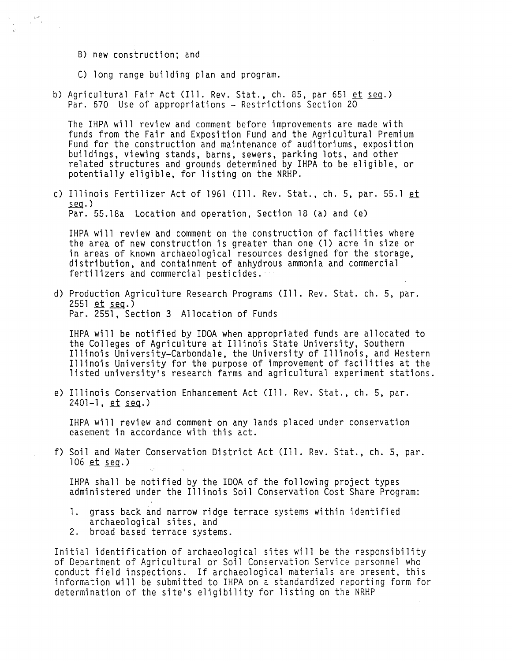B) new construction; and

 $\mathbb{R}^{\mathcal{S}}$  .

- C) long range building plan and program.
- b) Agricultural Fair Act (Ill. Rev. Stat., ch. 85, par 651  $et$  seg.) Par. 670 Use of appropriations - Restrictions Section 20

The IHPA will review and comment before improvements are made with funds from the Fair and Exposition Fund and the Agricultural Premium<br>Fund for the construction and maintenance of auditoriums, exposition Fund for the construction and maintenance of auditoriums, exposition buildings, viewing stands, barns, sewers, parking lots, and other related structures and grounds determined by IHPA to be eligible, or potentially eligible, for listing on the NRHP.

c) Illinois Fertilizer Act of 1961 (Ill. Rev. Stat., ch. 5, par. 55.l et  $seq.$ ) Par. 55.18a Location and operation, Section 18 (a) and (e)

IHPA will review and comment on the construction of facilities where the area of new construction is greater than one (1) acre in size or in areas of known archaeological resources designed for the storage, distribution, and containment of anhydrous ammonia and commercial fertilizers and commercial pesticides.

d) Production Agriculture Research Programs (Ill. Rev. Stat. ch. 5, par.<br>2551 et seg.) Par. 2551, Section 3 Allocation of Funds

IHPA will be notified by IDOA when appropriated funds are allocated to the Colleges of Agriculture at Illinois State University, Southern Illinois University-Carbondale, the University of Illinois, and Western Illinois University for the purpose of improvement of facilities at the listed university's research farms and agricultural experiment stations.

e) Illinois Conservation Enhancement Act (Ill. Rev. Stat., ch. 5, par.<br>2401-1, et seg.)

IHPA will review and comment on any lands placed under conservation easement in accordance with this act.

f) Soil and Water Conservation District Act (Ill. Rev. Stat., ch. 5, par.<br>106 et seg.)

IHPA shall be notified by the IDOA of the following project types administered under the Illinois Soil Conservation Cost Share Program:

- 1. grass back and narrow ridge terrace systems within identified archaeological sites, and
- 2. broad based terrace systems.

Initial identification of archaeological sites will be the responsibility of Department of Agricultural or Soil Conservation Service personnel who conduct field inspections. If archaeological materials are present, this information will be submitted to IHPA on a standardized reporting form for determination of the site's eligibility for listing on the NRHP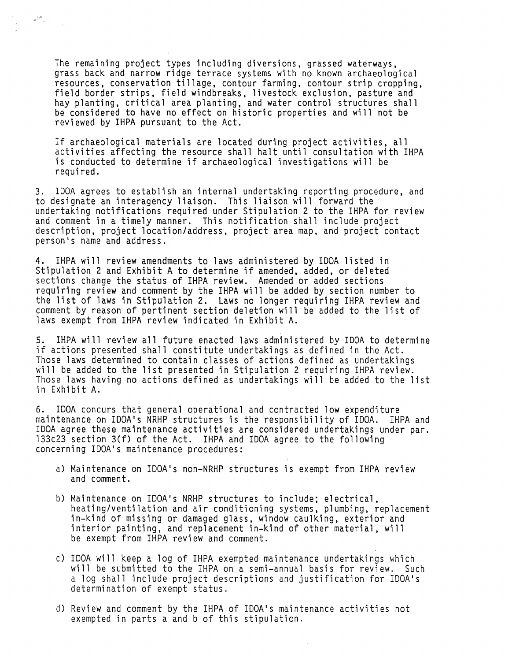The remaining project types including diversions, grassed waterways, grass back and narrow ridge terrace systems with no known archaeological resources, conservation tillage, contour farming, contour strip cropping, field border strips, field windbreaks, livestock exclusion, pasture and hay planting, critical area planting, and water control structures shall be considered to have no effect on historic properties and will not be reviewed by IHPA pursuant to the Act.

 $\approx \frac{1}{2} \sigma^2 \frac{1}{\sigma}$ 

If archaeological materials are located during project activities, all activities affecting the resource shall halt until consultation with IHPA is conducted to determine if archaeological investigations will be required.

3. IDOA agrees to establish an internal undertaking reporting procedure, and to designate an interagency liaison. This liaison will forward the undertaking notifications required under Stipulation 2 to the IHPA for review and comment in a timely manner. This notification shall include project description, project location/address, project area map, and project contact person's name and address.

4. IHPA will review amendments to laws administered by IDOA listed in Stipulation 2 and Exhibit A to determine if amended, added, or deleted sections change the status of IHPA review. Amended or added sections requiring review and comment by the IHPA will be added by section number to the list of laws in Stipulation 2. Laws no longer requiring IHPA review and comment by reason of pertinent section deletion will be added to the list of laws exempt from IHPA review indicated in Exhibit A.

5. IHPA will review all future enacted laws administered by IDOA to determine if actions presented shall constitute undertakings as defined in the Act. Those laws determined to contain classes of actions defined as undertakings will be added to the list presented in Stipulation 2 requiring IHPA review. Those laws having no actions defined as undertakings will be added to the list in Exhibit A.

6. IDOA concurs that general operational and contracted low expenditure maintenance on IDOA's NRHP structures is the responsibility of IDOA. IHPA and IDOA agree these maintenance activities are considered undertakings under par. 133c23 section 3(f) of the Act. IHPA and IDOA agree to the following concerning IDOA's maintenance procedures:

- a) Maintenance on IDOA's non-NRHP structures is exempt from IHPA review and comment.
- b) Maintenance on IDOA's NRHP structures to include; electrical, heating/ventilation and air conditioning systems, plumbing, replacement in-kind of missing or damaged glass, window caulking, exterior and interior painting, and replacement in-kind of other material, will be exempt from IHPA review and comment.
- c) IDOA will keep a log of IHPA exempted maintenance undertakings which will be submitted to the IHPA on a semi-annual basis for review. Such a log shall include project descriptions and justification for IDOA's determination of exempt status.
- d) Review and comment by the IHPA of IDOA's maintenance activities not exempted in parts a and b of this stipulation.